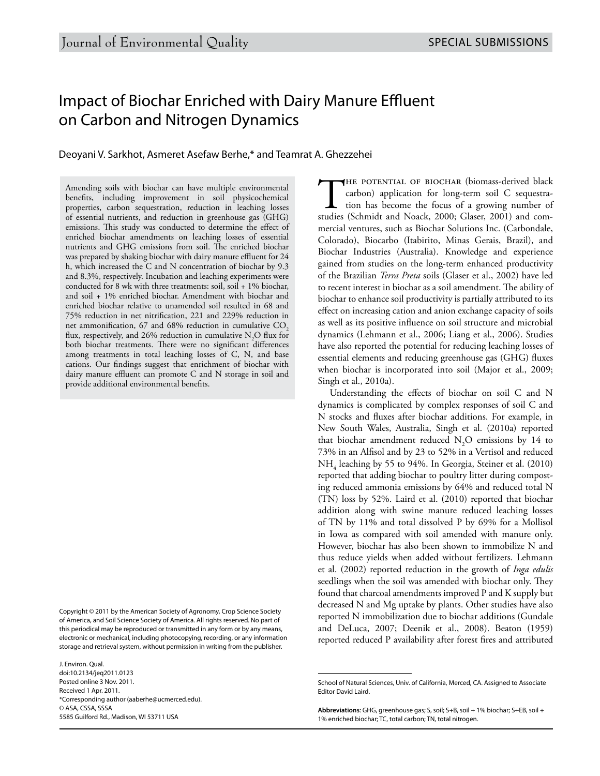# Impact of Biochar Enriched with Dairy Manure Effluent on Carbon and Nitrogen Dynamics

Deoyani V. Sarkhot, Asmeret Asefaw Berhe,\* and Teamrat A. Ghezzehei

Amending soils with biochar can have multiple environmental benefits, including improvement in soil physicochemical properties, carbon sequestration, reduction in leaching losses of essential nutrients, and reduction in greenhouse gas (GHG) emissions. This study was conducted to determine the effect of enriched biochar amendments on leaching losses of essential nutrients and GHG emissions from soil. The enriched biochar was prepared by shaking biochar with dairy manure effluent for 24 h, which increased the C and N concentration of biochar by 9.3 and 8.3%, respectively. Incubation and leaching experiments were conducted for 8 wk with three treatments: soil, soil + 1% biochar, and soil + 1% enriched biochar. Amendment with biochar and enriched biochar relative to unamended soil resulted in 68 and 75% reduction in net nitrification, 221 and 229% reduction in net ammonification, 67 and 68% reduction in cumulative CO<sub>2</sub> flux, respectively, and 26% reduction in cumulative  $N_2O$  flux for both biochar treatments. There were no significant differences among treatments in total leaching losses of C, N, and base cations. Our findings suggest that enrichment of biochar with dairy manure effluent can promote C and N storage in soil and provide additional environmental benefits.

Copyright © 2011 by the American Society of Agronomy, Crop Science Society of America, and Soil Science Society of America. All rights reserved. No part of this periodical may be reproduced or transmitted in any form or by any means, electronic or mechanical, including photocopying, recording, or any information storage and retrieval system, without permission in writing from the publisher.

J. Environ. Qual. doi:10.2134/jeq2011.0123 Posted online 3 Nov. 2011. Received 1 Apr. 2011. \*Corresponding author (aaberhe@ucmerced.edu). © ASA, CSSA, SSSA 5585 Guilford Rd., Madison, WI 53711 USA

THE POTENTIAL OF BIOCHAR (biomass-derived black<br>carbon) application for long-term soil C sequestra-<br>tion has become the focus of a growing number of<br>studies (Schmidt and Noack, 2000); Glaser, 2001) and comcarbon) application for long-term soil C sequestration has become the focus of a growing number of studies (Schmidt and Noack, 2000; Glaser, 2001) and commercial ventures, such as Biochar Solutions Inc. (Carbondale, Colorado), Biocarbo (Itabirito, Minas Gerais, Brazil), and Biochar Industries (Australia). Knowledge and experience gained from studies on the long-term enhanced productivity of the Brazilian *Terra Preta* soils (Glaser et al., 2002) have led to recent interest in biochar as a soil amendment. The ability of biochar to enhance soil productivity is partially attributed to its effect on increasing cation and anion exchange capacity of soils as well as its positive influence on soil structure and microbial dynamics (Lehmann et al., 2006; Liang et al., 2006). Studies have also reported the potential for reducing leaching losses of essential elements and reducing greenhouse gas (GHG) fluxes when biochar is incorporated into soil (Major et al., 2009; Singh et al., 2010a).

Understanding the effects of biochar on soil C and N dynamics is complicated by complex responses of soil C and N stocks and fluxes after biochar additions. For example, in New South Wales, Australia, Singh et al. (2010a) reported that biochar amendment reduced  $N_2O$  emissions by 14 to 73% in an Alfisol and by 23 to 52% in a Vertisol and reduced NH4 leaching by 55 to 94%. In Georgia, Steiner et al. (2010) reported that adding biochar to poultry litter during composting reduced ammonia emissions by 64% and reduced total N (TN) loss by 52%. Laird et al. (2010) reported that biochar addition along with swine manure reduced leaching losses of TN by 11% and total dissolved P by 69% for a Mollisol in Iowa as compared with soil amended with manure only. However, biochar has also been shown to immobilize N and thus reduce yields when added without fertilizers. Lehmann et al. (2002) reported reduction in the growth of *Inga edulis* seedlings when the soil was amended with biochar only. They found that charcoal amendments improved P and K supply but decreased N and Mg uptake by plants. Other studies have also reported N immobilization due to biochar additions (Gundale and DeLuca, 2007; Deenik et al., 2008). Beaton (1959) reported reduced P availability after forest fires and attributed

School of Natural Sciences, Univ. of California, Merced, CA. Assigned to Associate Editor David Laird.

**Abbreviations**: GHG, greenhouse gas; S, soil; S+B, soil + 1% biochar; S+EB, soil + 1% enriched biochar; TC, total carbon; TN, total nitrogen.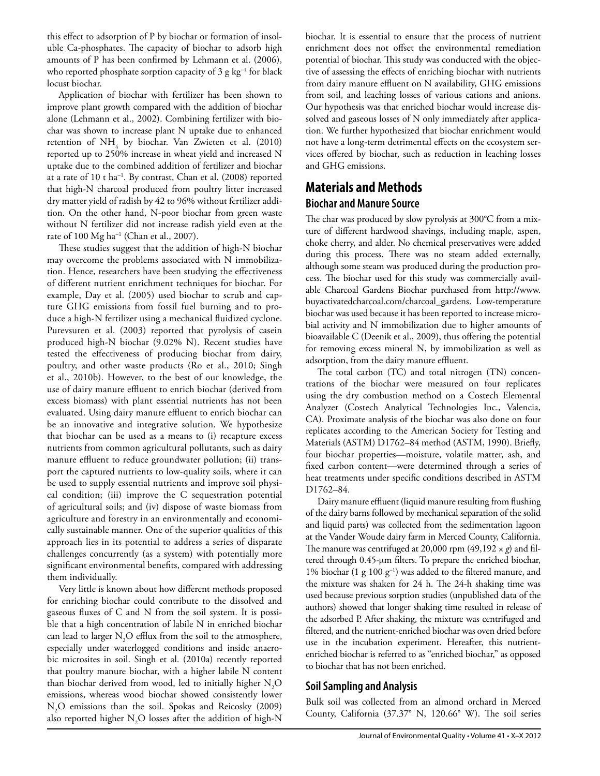this effect to adsorption of P by biochar or formation of insoluble Ca-phosphates. The capacity of biochar to adsorb high amounts of P has been confirmed by Lehmann et al. (2006), who reported phosphate sorption capacity of 3  $g kg^{-1}$  for black locust biochar.

Application of biochar with fertilizer has been shown to improve plant growth compared with the addition of biochar alone (Lehmann et al., 2002). Combining fertilizer with biochar was shown to increase plant N uptake due to enhanced retention of  $NH<sub>4</sub>$  by biochar. Van Zwieten et al. (2010) reported up to 250% increase in wheat yield and increased N uptake due to the combined addition of fertilizer and biochar at a rate of 10 t ha<sup>-1</sup>. By contrast, Chan et al. (2008) reported that high-N charcoal produced from poultry litter increased dry matter yield of radish by 42 to 96% without fertilizer addition. On the other hand, N-poor biochar from green waste without N fertilizer did not increase radish yield even at the rate of 100 Mg ha<sup>-1</sup> (Chan et al., 2007).

These studies suggest that the addition of high-N biochar may overcome the problems associated with N immobilization. Hence, researchers have been studying the effectiveness of different nutrient enrichment techniques for biochar. For example, Day et al. (2005) used biochar to scrub and capture GHG emissions from fossil fuel burning and to produce a high-N fertilizer using a mechanical fluidized cyclone. Purevsuren et al. (2003) reported that pyrolysis of casein produced high-N biochar (9.02% N). Recent studies have tested the effectiveness of producing biochar from dairy, poultry, and other waste products (Ro et al., 2010; Singh et al., 2010b). However, to the best of our knowledge, the use of dairy manure effluent to enrich biochar (derived from excess biomass) with plant essential nutrients has not been evaluated. Using dairy manure effluent to enrich biochar can be an innovative and integrative solution. We hypothesize that biochar can be used as a means to (i) recapture excess nutrients from common agricultural pollutants, such as dairy manure effluent to reduce groundwater pollution; (ii) transport the captured nutrients to low-quality soils, where it can be used to supply essential nutrients and improve soil physical condition; (iii) improve the C sequestration potential of agricultural soils; and (iv) dispose of waste biomass from agriculture and forestry in an environmentally and economically sustainable manner. One of the superior qualities of this approach lies in its potential to address a series of disparate challenges concurrently (as a system) with potentially more significant environmental benefits, compared with addressing them individually.

Very little is known about how different methods proposed for enriching biochar could contribute to the dissolved and gaseous fluxes of C and N from the soil system. It is possible that a high concentration of labile N in enriched biochar can lead to larger  $\text{N}_{2}\text{O}$  efflux from the soil to the atmosphere, especially under waterlogged conditions and inside anaerobic microsites in soil. Singh et al. (2010a) recently reported that poultry manure biochar, with a higher labile N content than biochar derived from wood, led to initially higher  $\text{N}_{2}\text{O}$ emissions, whereas wood biochar showed consistently lower  $\rm N_2O$  emissions than the soil. Spokas and Reicosky (2009) also reported higher  $N_{2}O$  losses after the addition of high-N biochar. It is essential to ensure that the process of nutrient enrichment does not offset the environmental remediation potential of biochar. This study was conducted with the objective of assessing the effects of enriching biochar with nutrients from dairy manure effluent on N availability, GHG emissions from soil, and leaching losses of various cations and anions. Our hypothesis was that enriched biochar would increase dissolved and gaseous losses of N only immediately after application. We further hypothesized that biochar enrichment would not have a long-term detrimental effects on the ecosystem services offered by biochar, such as reduction in leaching losses and GHG emissions.

# **Materials and Methods Biochar and Manure Source**

The char was produced by slow pyrolysis at 300°C from a mixture of different hardwood shavings, including maple, aspen, choke cherry, and alder. No chemical preservatives were added during this process. There was no steam added externally, although some steam was produced during the production process. The biochar used for this study was commercially available Charcoal Gardens Biochar purchased from http://www. buyactivatedcharcoal.com/charcoal\_gardens. Low-temperature biochar was used because it has been reported to increase microbial activity and N immobilization due to higher amounts of bioavailable C (Deenik et al., 2009), thus offering the potential for removing excess mineral N, by immobilization as well as adsorption, from the dairy manure effluent.

The total carbon (TC) and total nitrogen (TN) concentrations of the biochar were measured on four replicates using the dry combustion method on a Costech Elemental Analyzer (Costech Analytical Technologies Inc., Valencia, CA). Proximate analysis of the biochar was also done on four replicates according to the American Society for Testing and Materials (ASTM) D1762–84 method (ASTM, 1990). Briefly, four biochar properties—moisture, volatile matter, ash, and fixed carbon content—were determined through a series of heat treatments under specific conditions described in ASTM D1762–84.

Dairy manure effluent (liquid manure resulting from flushing of the dairy barns followed by mechanical separation of the solid and liquid parts) was collected from the sedimentation lagoon at the Vander Woude dairy farm in Merced County, California. The manure was centrifuged at 20,000 rpm  $(49,192 \times g)$  and filtered through 0.45-µm filters. To prepare the enriched biochar, 1% biochar  $(1 g 100 g^{-1})$  was added to the filtered manure, and the mixture was shaken for 24 h. The 24-h shaking time was used because previous sorption studies (unpublished data of the authors) showed that longer shaking time resulted in release of the adsorbed P. After shaking, the mixture was centrifuged and filtered, and the nutrient-enriched biochar was oven dried before use in the incubation experiment. Hereafter, this nutrientenriched biochar is referred to as "enriched biochar," as opposed to biochar that has not been enriched.

# **Soil Sampling and Analysis**

Bulk soil was collected from an almond orchard in Merced County, California (37.37° N, 120.66° W). The soil series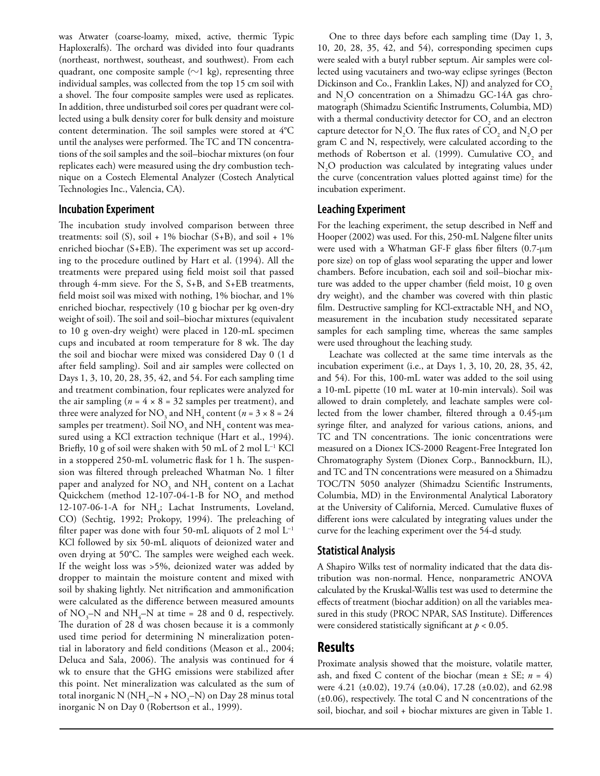was Atwater (coarse-loamy, mixed, active, thermic Typic Haploxeralfs). The orchard was divided into four quadrants (northeast, northwest, southeast, and southwest). From each quadrant, one composite sample  $(\sim 1 \text{ kg})$ , representing three individual samples, was collected from the top 15 cm soil with a shovel. The four composite samples were used as replicates. In addition, three undisturbed soil cores per quadrant were collected using a bulk density corer for bulk density and moisture content determination. The soil samples were stored at 4°C until the analyses were performed. The TC and TN concentrations of the soil samples and the soil–biochar mixtures (on four replicates each) were measured using the dry combustion technique on a Costech Elemental Analyzer (Costech Analytical Technologies Inc., Valencia, CA).

#### **Incubation Experiment**

The incubation study involved comparison between three treatments: soil (S), soil + 1% biochar (S+B), and soil + 1% enriched biochar (S+EB). The experiment was set up according to the procedure outlined by Hart et al. (1994). All the treatments were prepared using field moist soil that passed through 4-mm sieve. For the S, S+B, and S+EB treatments, field moist soil was mixed with nothing, 1% biochar, and 1% enriched biochar, respectively (10 g biochar per kg oven-dry weight of soil). The soil and soil–biochar mixtures (equivalent to 10 g oven-dry weight) were placed in 120-mL specimen cups and incubated at room temperature for 8 wk. The day the soil and biochar were mixed was considered Day 0 (1 d after field sampling). Soil and air samples were collected on Days 1, 3, 10, 20, 28, 35, 42, and 54. For each sampling time and treatment combination, four replicates were analyzed for the air sampling ( $n = 4 \times 8 = 32$  samples per treatment), and three were analyzed for NO<sub>3</sub> and NH<sub>4</sub> content ( $n = 3 \times 8 = 24$ ) samples per treatment). Soil  $\mathrm{NO}_\mathrm{_3}$  and  $\mathrm{NH}_\mathrm{_4}$  content was measured using a KCl extraction technique (Hart et al., 1994). Briefly, 10 g of soil were shaken with 50 mL of 2 mol L<sup>-1</sup> KCl in a stoppered 250-mL volumetric flask for 1 h. The suspension was filtered through preleached Whatman No. 1 filter paper and analyzed for  $\mathrm{NO}_3^{}$  and  $\mathrm{NH}_4^{}$  content on a Lachat Quickchem (method 12-107-04-1-B for  $\mathrm{NO}_3^{}$  and method 12-107-06-1-A for  $NH_4$ ; Lachat Instruments, Loveland, CO) (Sechtig, 1992; Prokopy, 1994). The preleaching of filter paper was done with four 50-mL aliquots of 2 mol  $L^{-1}$ KCl followed by six 50-mL aliquots of deionized water and oven drying at 50°C. The samples were weighed each week. If the weight loss was >5%, deionized water was added by dropper to maintain the moisture content and mixed with soil by shaking lightly. Net nitrification and ammonification were calculated as the difference between measured amounts of  $NO_3$ –N and  $NH_4$ –N at time = 28 and 0 d, respectively. The duration of 28 d was chosen because it is a commonly used time period for determining N mineralization potential in laboratory and field conditions (Meason et al., 2004; Deluca and Sala, 2006). The analysis was continued for 4 wk to ensure that the GHG emissions were stabilized after this point. Net mineralization was calculated as the sum of total inorganic N ( $NH_{4}$ –N +  $NO_{3}$ –N) on Day 28 minus total inorganic N on Day 0 (Robertson et al., 1999).

One to three days before each sampling time (Day 1, 3, 10, 20, 28, 35, 42, and 54), corresponding specimen cups were sealed with a butyl rubber septum. Air samples were collected using vacutainers and two-way eclipse syringes (Becton Dickinson and Co., Franklin Lakes, NJ) and analyzed for  $\text{CO}_2$ and  $\rm N_2O$  concentration on a Shimadzu GC-14A gas chromatograph (Shimadzu Scientific Instruments, Columbia, MD) with a thermal conductivity detector for  $\mathrm{CO}_2^{}$  and an electron capture detector for  $\text{N}_{2}\text{O}$ . The flux rates of  $\text{CO}_{2}$  and  $\text{N}_{2}\text{O}$  per gram C and N, respectively, were calculated according to the methods of Robertson et al. (1999). Cumulative  $\text{CO}_2$  and  $\rm N_2O$  production was calculated by integrating values under the curve (concentration values plotted against time) for the incubation experiment.

### **Leaching Experiment**

For the leaching experiment, the setup described in Neff and Hooper (2002) was used. For this, 250-mL Nalgene filter units were used with a Whatman GF-F glass fiber filters (0.7-µm pore size) on top of glass wool separating the upper and lower chambers. Before incubation, each soil and soil–biochar mixture was added to the upper chamber (field moist, 10 g oven dry weight), and the chamber was covered with thin plastic film. Destructive sampling for KCl-extractable  $\mathrm{NH}_4^{}$  and  $\mathrm{NO}_3^{}$ measurement in the incubation study necessitated separate samples for each sampling time, whereas the same samples were used throughout the leaching study.

Leachate was collected at the same time intervals as the incubation experiment (i.e., at Days 1, 3, 10, 20, 28, 35, 42, and 54). For this, 100-mL water was added to the soil using a 10-mL pipette (10 mL water at 10-min intervals). Soil was allowed to drain completely, and leachate samples were collected from the lower chamber, filtered through a  $0.45$ - $\mu$ m syringe filter, and analyzed for various cations, anions, and TC and TN concentrations. The ionic concentrations were measured on a Dionex ICS-2000 Reagent-Free Integrated Ion Chromatography System (Dionex Corp., Bannockburn, IL), and TC and TN concentrations were measured on a Shimadzu TOC/TN 5050 analyzer (Shimadzu Scientific Instruments, Columbia, MD) in the Environmental Analytical Laboratory at the University of California, Merced. Cumulative fluxes of different ions were calculated by integrating values under the curve for the leaching experiment over the 54-d study.

### **Statistical Analysis**

A Shapiro Wilks test of normality indicated that the data distribution was non-normal. Hence, nonparametric ANOVA calculated by the Kruskal-Wallis test was used to determine the effects of treatment (biochar addition) on all the variables measured in this study (PROC NPAR, SAS Institute). Differences were considered statistically significant at *p* < 0.05.

# **Results**

Proximate analysis showed that the moisture, volatile matter, ash, and fixed C content of the biochar (mean  $\pm$  SE;  $n = 4$ ) were 4.21 (±0.02), 19.74 (±0.04), 17.28 (±0.02), and 62.98 (±0.06), respectively. The total C and N concentrations of the soil, biochar, and soil + biochar mixtures are given in Table 1.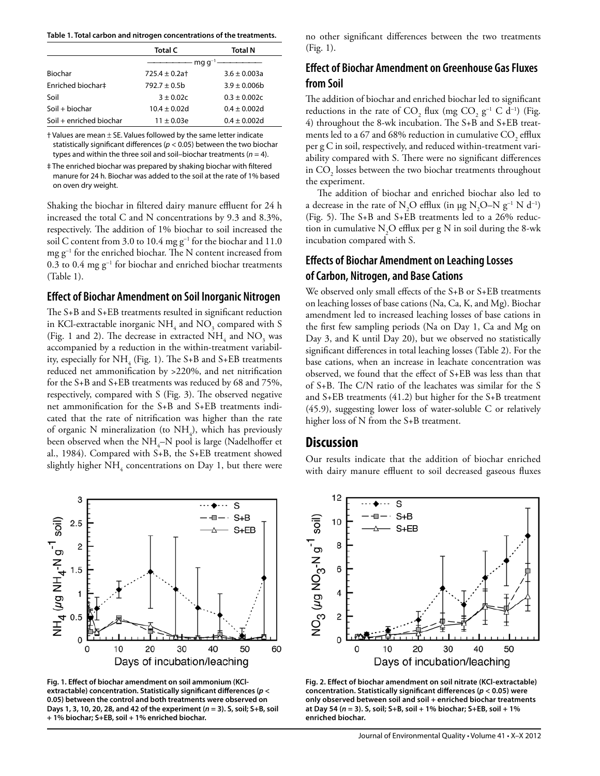| Table 1. Total carbon and nitrogen concentrations of the treatments. |  |
|----------------------------------------------------------------------|--|
|----------------------------------------------------------------------|--|

|                         | Total C           | Total N           |
|-------------------------|-------------------|-------------------|
|                         | $mgq^{-1}$        |                   |
| <b>Biochar</b>          | $725.4 \pm 0.2at$ | $3.6 \pm 0.003a$  |
| Enriched biochar#       | $792.7 \pm 0.5$ b | $3.9 \pm 0.006$ b |
| Soil                    | $3 + 0.02c$       | $0.3 \pm 0.002c$  |
| Soil + biochar          | $10.4 \pm 0.02$ d | $0.4 \pm 0.002d$  |
| Soil + enriched biochar | $11 \pm 0.03e$    | $0.4 \pm 0.002$ d |

 $\dagger$  Values are mean  $\pm$  SE. Values followed by the same letter indicate statistically significant differences (*p* < 0.05) between the two biochar types and within the three soil and soil–biochar treatments ( $n = 4$ ).

‡ The enriched biochar was prepared by shaking biochar with filtered manure for 24 h. Biochar was added to the soil at the rate of 1% based on oven dry weight.

Shaking the biochar in filtered dairy manure effluent for 24 h increased the total C and N concentrations by 9.3 and 8.3%, respectively. The addition of 1% biochar to soil increased the soil C content from 3.0 to 10.4  $mgg^{-1}$  for the biochar and 11.0 mg g<sup>-1</sup> for the enriched biochar. The N content increased from  $0.3$  to  $0.4$  mg  $g^{-1}$  for biochar and enriched biochar treatments (Table 1).

#### **Effect of Biochar Amendment on Soil Inorganic Nitrogen**

The S+B and S+EB treatments resulted in significant reduction in KCl-extractable inorganic  $\mathrm{NH}_4$  and  $\mathrm{NO}_3$  compared with S (Fig. 1 and 2). The decrease in extracted  $NH<sub>4</sub>$  and  $NO<sub>3</sub>$  was accompanied by a reduction in the within-treatment variability, especially for  $NH<sub>4</sub>$  (Fig. 1). The S+B and S+EB treatments reduced net ammonification by >220%, and net nitrification for the S+B and S+EB treatments was reduced by 68 and 75%, respectively, compared with S (Fig. 3). The observed negative net ammonification for the S+B and S+EB treatments indicated that the rate of nitrification was higher than the rate of organic N mineralization (to  $NH_{4}$ ), which has previously been observed when the  $\mathrm{NH}_4\mathrm{-N}$  pool is large (Nadelhoffer et al., 1984). Compared with S+B, the S+EB treatment showed slightly higher  $\mathrm{NH}_4^{}$  concentrations on Day 1, but there were



**Fig. 1. Effect of biochar amendment on soil ammonium (KClextractable) concentration. Statistically significant differences (***p* **< 0.05) between the control and both treatments were observed on Days 1, 3, 10, 20, 28, and 42 of the experiment (***n* **= 3). S, soil; S+B, soil + 1% biochar; S+EB, soil + 1% enriched biochar.**

no other significant differences between the two treatments (Fig. 1).

### **Effect of Biochar Amendment on Greenhouse Gas Fluxes from Soil**

The addition of biochar and enriched biochar led to significant reductions in the rate of  $\mathrm{CO}_2$  flux (mg  $\mathrm{CO}_2$   $\mathrm{g}^{-1}$   $\mathrm{C}$   $\mathrm{d}^{-1}$ ) (Fig. 4) throughout the 8-wk incubation. The S+B and S+EB treatments led to a 67 and 68% reduction in cumulative  $\mathrm{CO}_2$  efflux per g C in soil, respectively, and reduced within-treatment variability compared with S. There were no significant differences in  $\mathrm{CO}_2$  losses between the two biochar treatments throughout the experiment.

The addition of biochar and enriched biochar also led to a decrease in the rate of  $N_2O$  efflux (in µg  $N_2O-N$   $g^{-1}N$   $d^{-1}$ ) (Fig. 5). The S+B and S+EB treatments led to a 26% reduction in cumulative  $\mathrm{N}_2\mathrm{O}$  efflux per g  $\mathrm{N}$  in soil during the 8-wk incubation compared with S.

# **Effects of Biochar Amendment on Leaching Losses of Carbon, Nitrogen, and Base Cations**

We observed only small effects of the S+B or S+EB treatments on leaching losses of base cations (Na, Ca, K, and Mg). Biochar amendment led to increased leaching losses of base cations in the first few sampling periods (Na on Day 1, Ca and Mg on Day 3, and K until Day 20), but we observed no statistically significant differences in total leaching losses (Table 2). For the base cations, when an increase in leachate concentration was observed, we found that the effect of S+EB was less than that of S+B. The C/N ratio of the leachates was similar for the S and S+EB treatments (41.2) but higher for the S+B treatment (45.9), suggesting lower loss of water-soluble C or relatively higher loss of N from the S+B treatment.

# **Discussion**

Our results indicate that the addition of biochar enriched with dairy manure effluent to soil decreased gaseous fluxes



**Fig. 2. Effect of biochar amendment on soil nitrate (KCl-extractable) concentration. Statistically significant differences (***p* **< 0.05) were only observed between soil and soil + enriched biochar treatments at Day 54 (***n* **= 3). S, soil; S+B, soil + 1% biochar; S+EB, soil + 1% enriched biochar.**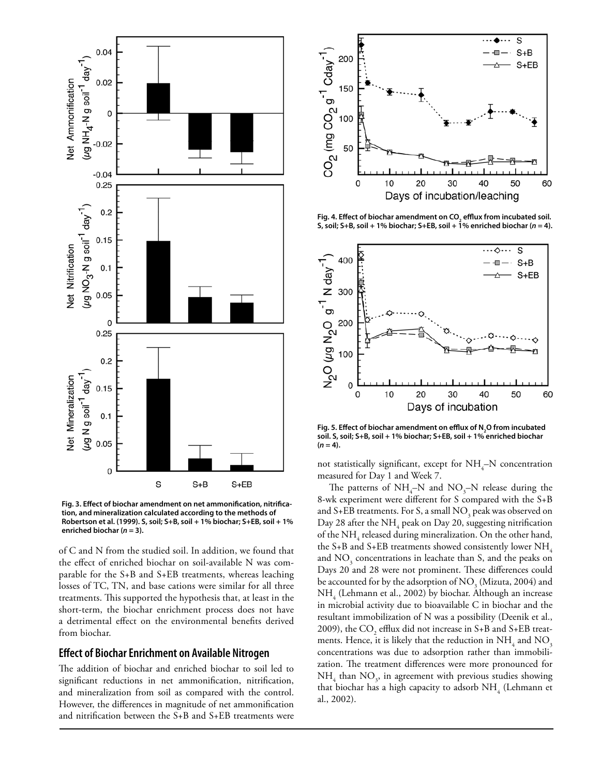

**Fig. 3. Effect of biochar amendment on net ammonification, nitrification, and mineralization calculated according to the methods of Robertson et al. (1999). S, soil; S+B, soil + 1% biochar; S+EB, soil + 1% enriched biochar (***n* **= 3).**

of C and N from the studied soil. In addition, we found that the effect of enriched biochar on soil-available N was comparable for the S+B and S+EB treatments, whereas leaching losses of TC, TN, and base cations were similar for all three treatments. This supported the hypothesis that, at least in the short-term, the biochar enrichment process does not have a detrimental effect on the environmental benefits derived from biochar.

#### **Effect of Biochar Enrichment on Available Nitrogen**

The addition of biochar and enriched biochar to soil led to significant reductions in net ammonification, nitrification, and mineralization from soil as compared with the control. However, the differences in magnitude of net ammonification and nitrification between the S+B and S+EB treatments were



Fig. 4. Effect of biochar amendment on CO<sub>2</sub> efflux from incubated soil. **S, soil; S+B, soil + 1% biochar; S+EB, soil + 1% enriched biochar (***n* **= 4).**



**Fig. 5. Effect of biochar amendment on efflux of N2 O from incubated soil. S, soil; S+B, soil + 1% biochar; S+EB, soil + 1% enriched biochar**   $(n = 4)$ .

not statistically significant, except for  $NH_4$ –N concentration measured for Day 1 and Week 7.

The patterns of  $NH_4$ –N and  $NO_3$ –N release during the 8-wk experiment were different for S compared with the S+B and S+EB treatments. For S, a small  $\rm NO\rm_{_3}$  peak was observed on Day 28 after the NH<sub>4</sub> peak on Day 20, suggesting nitrification of the  $\mathrm{NH}_4$  released during mineralization. On the other hand, the S+B and S+EB treatments showed consistently lower NH<sub>4</sub> and  $\mathrm{NO}_3^{}$  concentrations in leachate than S, and the peaks on Days 20 and 28 were not prominent. These differences could be accounted for by the adsorption of  $\mathrm{NO}_\mathrm{3}\,\mathrm{(Mixuta,\,2004)}$  and  $\mathrm{NH}_{_4}$  (Lehmann et al., 2002) by biochar. Although an increase in microbial activity due to bioavailable C in biochar and the resultant immobilization of N was a possibility (Deenik et al., 2009), the CO<sub>2</sub> efflux did not increase in S+B and S+EB treatments. Hence, it is likely that the reduction in  $\mathrm{NH}_4^{}$  and  $\mathrm{NO}_3^{}$ concentrations was due to adsorption rather than immobilization. The treatment differences were more pronounced for  $NH_{4}$  than  $NO_{3}$ , in agreement with previous studies showing that biochar has a high capacity to adsorb  $\mathrm{NH}_4^{}$  (Lehmann et al., 2002).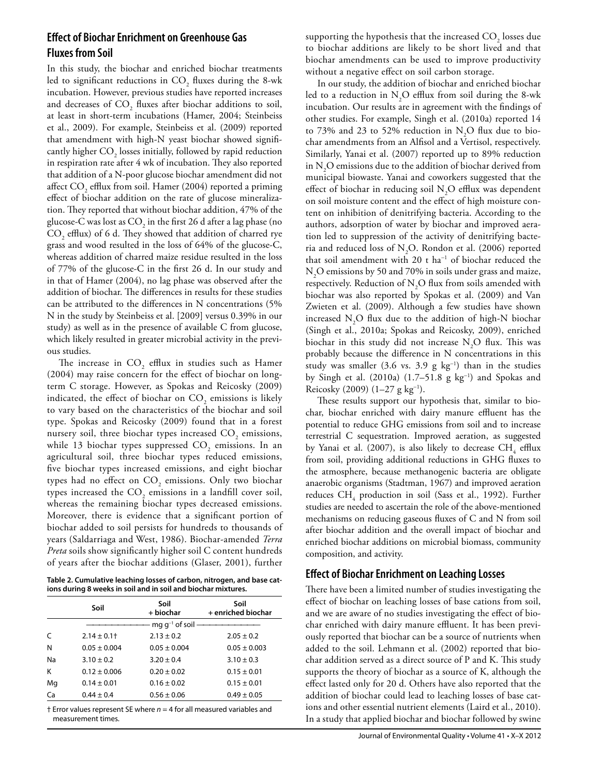# **Effect of Biochar Enrichment on Greenhouse Gas Fluxes from Soil**

In this study, the biochar and enriched biochar treatments led to significant reductions in  $\mathrm{CO}_2$  fluxes during the 8-wk incubation. However, previous studies have reported increases and decreases of  $\mathrm{CO}_2$  fluxes after biochar additions to soil, at least in short-term incubations (Hamer, 2004; Steinbeiss et al., 2009). For example, Steinbeiss et al. (2009) reported that amendment with high-N yeast biochar showed significantly higher  $\mathrm{CO}_2$  losses initially, followed by rapid reduction in respiration rate after 4 wk of incubation. They also reported that addition of a N-poor glucose biochar amendment did not affect  $\mathrm{CO}_2$  efflux from soil. Hamer (2004) reported a priming effect of biochar addition on the rate of glucose mineralization. They reported that without biochar addition, 47% of the glucose-C was lost as  $\mathrm{CO}_2$  in the first 26 d after a lag phase (no  $\mathrm{CO}_2$  efflux) of 6 d. They showed that addition of charred rye grass and wood resulted in the loss of 64% of the glucose-C, whereas addition of charred maize residue resulted in the loss of 77% of the glucose-C in the first 26 d. In our study and in that of Hamer (2004), no lag phase was observed after the addition of biochar. The differences in results for these studies can be attributed to the differences in N concentrations (5% N in the study by Steinbeiss et al. [2009] versus 0.39% in our study) as well as in the presence of available C from glucose, which likely resulted in greater microbial activity in the previous studies.

The increase in  $\mathrm{CO}_2$  efflux in studies such as Hamer (2004) may raise concern for the effect of biochar on longterm C storage. However, as Spokas and Reicosky (2009) indicated, the effect of biochar on  $\mathrm{CO}_2$  emissions is likely to vary based on the characteristics of the biochar and soil type. Spokas and Reicosky (2009) found that in a forest nursery soil, three biochar types increased  $\mathrm{CO}_2$  emissions, while 13 biochar types suppressed  $\mathrm{CO}_2$  emissions. In an agricultural soil, three biochar types reduced emissions, five biochar types increased emissions, and eight biochar types had no effect on  $\mathrm{CO}_2$  emissions. Only two biochar types increased the  $\mathrm{CO}_2$  emissions in a landfill cover soil, whereas the remaining biochar types decreased emissions. Moreover, there is evidence that a significant portion of biochar added to soil persists for hundreds to thousands of years (Saldarriaga and West, 1986). Biochar-amended *Terra Preta* soils show significantly higher soil C content hundreds of years after the biochar additions (Glaser, 2001), further

**Table 2. Cumulative leaching losses of carbon, nitrogen, and base cations during 8 weeks in soil and in soil and biochar mixtures.**

|    | Soil             | Soil<br>+ biochar   | Soil<br>+ enriched biochar |
|----|------------------|---------------------|----------------------------|
|    |                  | $mg q^{-1}$ of soil |                            |
| C  | $2.14 \pm 0.1$   | $2.13 \pm 0.2$      | $2.05 \pm 0.2$             |
| N  | $0.05 \pm 0.004$ | $0.05 \pm 0.004$    | $0.05 \pm 0.003$           |
| Na | $3.10 \pm 0.2$   | $3.20 \pm 0.4$      | $3.10 \pm 0.3$             |
| κ  | $0.12 \pm 0.006$ | $0.20 \pm 0.02$     | $0.15 \pm 0.01$            |
| Mg | $0.14 \pm 0.01$  | $0.16 \pm 0.02$     | $0.15 \pm 0.01$            |
| Ca | $0.44 \pm 0.4$   | $0.56 \pm 0.06$     | $0.49 \pm 0.05$            |

† Error values represent SE where *n* = 4 for all measured variables and measurement times.

supporting the hypothesis that the increased  $\mathrm{CO}_\mathrm{2}$  losses due to biochar additions are likely to be short lived and that biochar amendments can be used to improve productivity without a negative effect on soil carbon storage.

In our study, the addition of biochar and enriched biochar led to a reduction in  $N_2$ O efflux from soil during the 8-wk incubation. Our results are in agreement with the findings of other studies. For example, Singh et al. (2010a) reported 14 to 73% and 23 to 52% reduction in  $\text{N}_{2}\text{O}$  flux due to biochar amendments from an Alfisol and a Vertisol, respectively. Similarly, Yanai et al. (2007) reported up to 89% reduction in  $\mathrm{N}_2\mathrm{O}$  emissions due to the addition of biochar derived from municipal biowaste. Yanai and coworkers suggested that the effect of biochar in reducing soil  $\mathrm{N}_2\mathrm{O}$  efflux was dependent on soil moisture content and the effect of high moisture content on inhibition of denitrifying bacteria. According to the authors, adsorption of water by biochar and improved aeration led to suppression of the activity of denitrifying bacteria and reduced loss of  $N_2O$ . Rondon et al. (2006) reported that soil amendment with 20 t ha<sup>-1</sup> of biochar reduced the  $\rm N_2O$  emissions by 50 and 70% in soils under grass and maize, respectively. Reduction of  $\mathrm{N}_2\mathrm{O}$  flux from soils amended with biochar was also reported by Spokas et al. (2009) and Van Zwieten et al. (2009). Although a few studies have shown increased  $N_2O$  flux due to the addition of high-N biochar (Singh et al., 2010a; Spokas and Reicosky, 2009), enriched biochar in this study did not increase  $N_2O$  flux. This was probably because the difference in N concentrations in this study was smaller  $(3.6 \text{ vs. } 3.9 \text{ g kg}^{-1})$  than in the studies by Singh et al.  $(2010a)$   $(1.7-51.8 \text{ g kg}^{-1})$  and Spokas and Reicosky (2009) (1–27 g kg<sup>-1</sup>).

These results support our hypothesis that, similar to biochar, biochar enriched with dairy manure effluent has the potential to reduce GHG emissions from soil and to increase terrestrial C sequestration. Improved aeration, as suggested by Yanai et al. (2007), is also likely to decrease  $\mathrm{CH}_4^{}$  efflux from soil, providing additional reductions in GHG fluxes to the atmosphere, because methanogenic bacteria are obligate anaerobic organisms (Stadtman, 1967) and improved aeration reduces  $\text{CH}_4$  production in soil (Sass et al., 1992). Further studies are needed to ascertain the role of the above-mentioned mechanisms on reducing gaseous fluxes of C and N from soil after biochar addition and the overall impact of biochar and enriched biochar additions on microbial biomass, community composition, and activity.

### **Effect of Biochar Enrichment on Leaching Losses**

There have been a limited number of studies investigating the effect of biochar on leaching losses of base cations from soil, and we are aware of no studies investigating the effect of biochar enriched with dairy manure effluent. It has been previously reported that biochar can be a source of nutrients when added to the soil. Lehmann et al. (2002) reported that biochar addition served as a direct source of P and K. This study supports the theory of biochar as a source of K, although the effect lasted only for 20 d. Others have also reported that the addition of biochar could lead to leaching losses of base cations and other essential nutrient elements (Laird et al., 2010). In a study that applied biochar and biochar followed by swine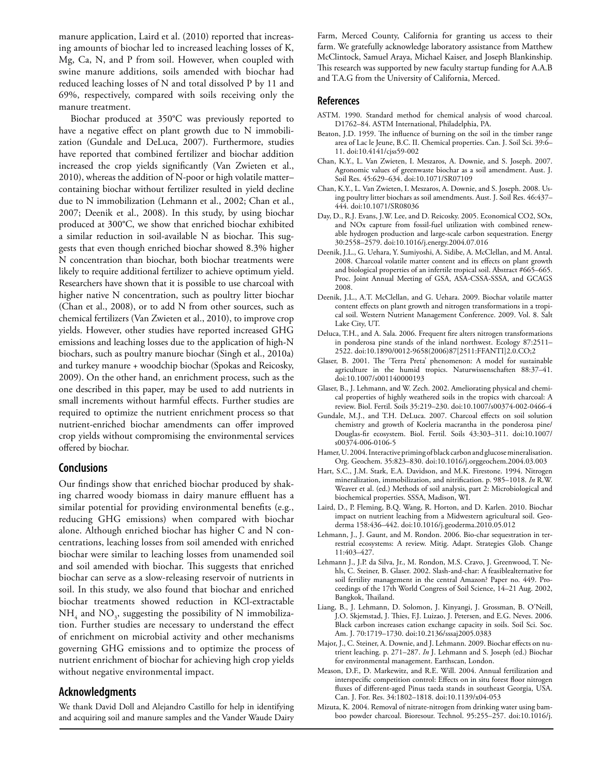manure application, Laird et al. (2010) reported that increasing amounts of biochar led to increased leaching losses of K, Mg, Ca, N, and P from soil. However, when coupled with swine manure additions, soils amended with biochar had reduced leaching losses of N and total dissolved P by 11 and 69%, respectively, compared with soils receiving only the manure treatment.

Biochar produced at 350°C was previously reported to have a negative effect on plant growth due to N immobilization (Gundale and DeLuca, 2007). Furthermore, studies have reported that combined fertilizer and biochar addition increased the crop yields significantly (Van Zwieten et al., 2010), whereas the addition of N-poor or high volatile matter– containing biochar without fertilizer resulted in yield decline due to N immobilization (Lehmann et al., 2002; Chan et al., 2007; Deenik et al., 2008). In this study, by using biochar produced at 300°C, we show that enriched biochar exhibited a similar reduction in soil-available N as biochar. This suggests that even though enriched biochar showed 8.3% higher N concentration than biochar, both biochar treatments were likely to require additional fertilizer to achieve optimum yield. Researchers have shown that it is possible to use charcoal with higher native N concentration, such as poultry litter biochar (Chan et al., 2008), or to add N from other sources, such as chemical fertilizers (Van Zwieten et al., 2010), to improve crop yields. However, other studies have reported increased GHG emissions and leaching losses due to the application of high-N biochars, such as poultry manure biochar (Singh et al., 2010a) and turkey manure + woodchip biochar (Spokas and Reicosky, 2009). On the other hand, an enrichment process, such as the one described in this paper, may be used to add nutrients in small increments without harmful effects. Further studies are required to optimize the nutrient enrichment process so that nutrient-enriched biochar amendments can offer improved crop yields without compromising the environmental services offered by biochar.

#### **Conclusions**

Our findings show that enriched biochar produced by shaking charred woody biomass in dairy manure effluent has a similar potential for providing environmental benefits (e.g., reducing GHG emissions) when compared with biochar alone. Although enriched biochar has higher C and N concentrations, leaching losses from soil amended with enriched biochar were similar to leaching losses from unamended soil and soil amended with biochar. This suggests that enriched biochar can serve as a slow-releasing reservoir of nutrients in soil. In this study, we also found that biochar and enriched biochar treatments showed reduction in KCl-extractable  $NH_{4}$  and  $NO_{3}$ , suggesting the possibility of N immobilization. Further studies are necessary to understand the effect of enrichment on microbial activity and other mechanisms governing GHG emissions and to optimize the process of nutrient enrichment of biochar for achieving high crop yields without negative environmental impact.

#### **Acknowledgments**

We thank David Doll and Alejandro Castillo for help in identifying and acquiring soil and manure samples and the Vander Waude Dairy Farm, Merced County, California for granting us access to their farm. We gratefully acknowledge laboratory assistance from Matthew McClintock, Samuel Araya, Michael Kaiser, and Joseph Blankinship. This research was supported by new faculty startup funding for A.A.B and T.A.G from the University of California, Merced.

#### **References**

- ASTM. 1990. Standard method for chemical analysis of wood charcoal. D1762–84. ASTM International, Philadelphia, PA.
- Beaton, J.D. 1959. The influence of burning on the soil in the timber range area of Lac le Jeune, B.C. II. Chemical properties. Can. J. Soil Sci. 39:6– 11. doi:10.4141/cjss59-002
- Chan, K.Y., L. Van Zwieten, I. Meszaros, A. Downie, and S. Joseph. 2007. Agronomic values of greenwaste biochar as a soil amendment. Aust. J. Soil Res. 45:629–634. doi:10.1071/SR07109
- Chan, K.Y., L. Van Zwieten, I. Meszaros, A. Downie, and S. Joseph. 2008. Using poultry litter biochars as soil amendments. Aust. J. Soil Res. 46:437– 444. doi:10.1071/SR08036
- Day, D., R.J. Evans, J.W. Lee, and D. Reicosky. 2005. Economical CO2, SOx, and NOx capture from fossil-fuel utilization with combined renewable hydrogen production and large-scale carbon sequestration. Energy 30:2558–2579. doi:10.1016/j.energy.2004.07.016
- Deenik, J.L., G. Uehara, Y. Sumiyoshi, A. Sidibe, A. McClellan, and M. Antal. 2008. Charcoal volatile matter content and its effects on plant growth and biological properties of an infertile tropical soil. Abstract #665–665. Proc. Joint Annual Meeting of GSA, ASA-CSSA-SSSA, and GCAGS 2008.
- Deenik, J.L., A.T. McClellan, and G. Uehara. 2009. Biochar volatile matter content effects on plant growth and nitrogen transformations in a tropical soil. Western Nutrient Management Conference. 2009. Vol. 8. Salt Lake City, UT.
- Deluca, T.H., and A. Sala. 2006. Frequent fire alters nitrogen transformations in ponderosa pine stands of the inland northwest. Ecology 87:2511– 2522. doi:10.1890/0012-9658(2006)87[2511:FFANTI]2.0.CO;2
- Glaser, B. 2001. The 'Terra Preta' phenomenon: A model for sustainable agriculture in the humid tropics. Naturwissenschaften 88:37–41. doi:10.1007/s001140000193
- Glaser, B., J. Lehmann, and W. Zech. 2002. Ameliorating physical and chemical properties of highly weathered soils in the tropics with charcoal: A review. Biol. Fertil. Soils 35:219–230. doi:10.1007/s00374-002-0466-4
- Gundale, M.J., and T.H. DeLuca. 2007. Charcoal effects on soil solution chemistry and growth of Koeleria macrantha in the ponderosa pine/ Douglas-fir ecosystem. Biol. Fertil. Soils 43:303–311. doi:10.1007/ s00374-006-0106-5
- Hamer, U. 2004. Interactive priming of black carbon and glucose mineralisation. Org. Geochem. 35:823–830. doi:10.1016/j.orggeochem.2004.03.003
- Hart, S.C., J.M. Stark, E.A. Davidson, and M.K. Firestone. 1994. Nitrogen mineralization, immobilization, and nitrification. p. 985–1018. *In* R.W. Weaver et al. (ed.) Methods of soil analysis, part 2: Microbiological and biochemical properties. SSSA, Madison, WI.
- Laird, D., P. Fleming, B.Q. Wang, R. Horton, and D. Karlen. 2010. Biochar impact on nutrient leaching from a Midwestern agricultural soil. Geoderma 158:436–442. doi:10.1016/j.geoderma.2010.05.012
- Lehmann, J., J. Gaunt, and M. Rondon. 2006. Bio-char sequestration in terrestrial ecosystems: A review. Mitig. Adapt. Strategies Glob. Change 11:403–427.
- Lehmann J., J.P. da Silva, Jr., M. Rondon, M.S. Cravo, J. Greenwood, T. Nehls, C. Steiner, B. Glaser. 2002. Slash-and-char: A feasiblealternative for soil fertility management in the central Amazon? Paper no. 449. Proceedings of the 17th World Congress of Soil Science, 14–21 Aug. 2002, Bangkok, Thailand.
- Liang, B., J. Lehmann, D. Solomon, J. Kinyangi, J. Grossman, B. O'Neill, J.O. Skjemstad, J. Thies, F.J. Luizao, J. Petersen, and E.G. Neves. 2006. Black carbon increases cation exchange capacity in soils. Soil Sci. Soc. Am. J. 70:1719–1730. doi:10.2136/sssaj2005.0383
- Major, J., C. Steiner, A. Downie, and J. Lehmann. 2009. Biochar effects on nutrient leaching. p. 271–287. *In* J. Lehmann and S. Joseph (ed.) Biochar for environmental management. Earthscan, London.
- Meason, D.F., D. Markewitz, and R.E. Will. 2004. Annual fertilization and interspecific competition control: Effects on in situ forest floor nitrogen fluxes of different-aged Pinus taeda stands in southeast Georgia, USA. Can. J. For. Res. 34:1802–1818. doi:10.1139/x04-053
- Mizuta, K. 2004. Removal of nitrate-nitrogen from drinking water using bamboo powder charcoal. Bioresour. Technol. 95:255–257. doi:10.1016/j.